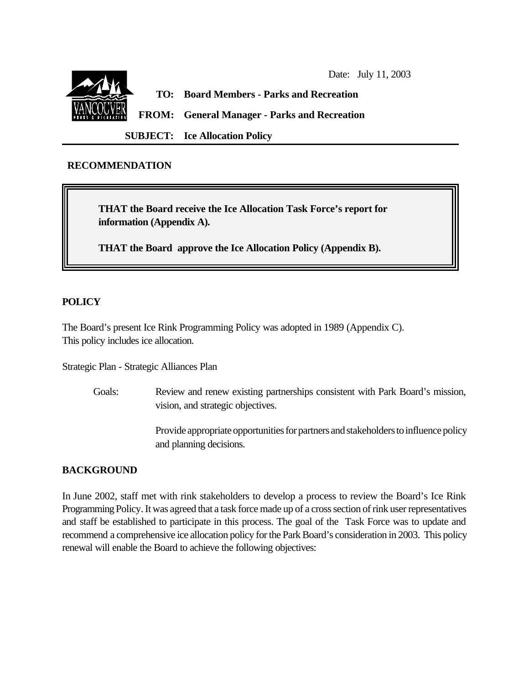

### **RECOMMENDATION**

 **THAT the Board receive the Ice Allocation Task Force's report for information (Appendix A).**

**THAT the Board approve the Ice Allocation Policy (Appendix B).**

#### **POLICY**

The Board's present Ice Rink Programming Policy was adopted in 1989 (Appendix C). This policy includes ice allocation.

Strategic Plan - Strategic Alliances Plan

Goals: Review and renew existing partnerships consistent with Park Board's mission, vision, and strategic objectives.

> Provide appropriate opportunities for partners and stakeholders to influence policy and planning decisions.

#### **BACKGROUND**

In June 2002, staff met with rink stakeholders to develop a process to review the Board's Ice Rink Programming Policy. It was agreed that a task force made up of a cross section of rink user representatives and staff be established to participate in this process. The goal of the Task Force was to update and recommend a comprehensive ice allocation policy for the Park Board's consideration in 2003. This policy renewal will enable the Board to achieve the following objectives: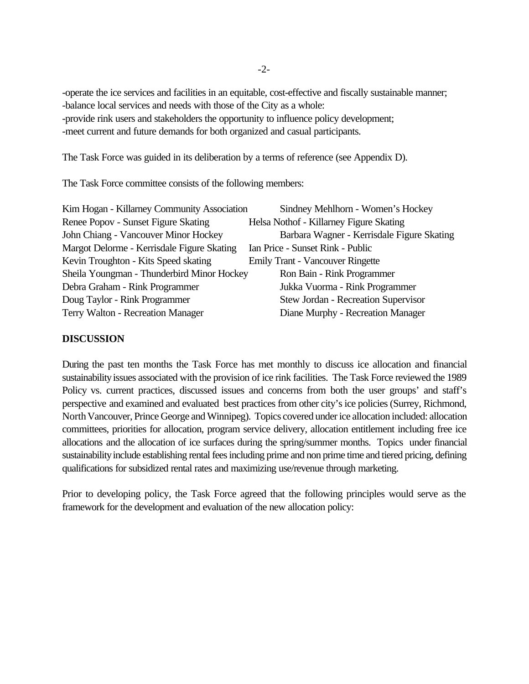-operate the ice services and facilities in an equitable, cost-effective and fiscally sustainable manner; -balance local services and needs with those of the City as a whole: -provide rink users and stakeholders the opportunity to influence policy development; -meet current and future demands for both organized and casual participants.

The Task Force was guided in its deliberation by a terms of reference (see Appendix D).

The Task Force committee consists of the following members:

| Kim Hogan - Killarney Community Association | Sindney Mehlhorn - Women's Hockey          |
|---------------------------------------------|--------------------------------------------|
| Renee Popov - Sunset Figure Skating         | Helsa Nothof - Killarney Figure Skating    |
| John Chiang - Vancouver Minor Hockey        | Barbara Wagner - Kerrisdale Figure Skating |
| Margot Delorme - Kerrisdale Figure Skating  | Ian Price - Sunset Rink - Public           |
| Kevin Troughton - Kits Speed skating        | <b>Emily Trant - Vancouver Ringette</b>    |
| Sheila Youngman - Thunderbird Minor Hockey  | Ron Bain - Rink Programmer                 |
| Debra Graham - Rink Programmer              | Jukka Vuorma - Rink Programmer             |
| Doug Taylor - Rink Programmer               | Stew Jordan - Recreation Supervisor        |
| Terry Walton - Recreation Manager           | Diane Murphy - Recreation Manager          |

#### **DISCUSSION**

During the past ten months the Task Force has met monthly to discuss ice allocation and financial sustainability issues associated with the provision of ice rink facilities. The Task Force reviewed the 1989 Policy vs. current practices, discussed issues and concerns from both the user groups' and staff's perspective and examined and evaluated best practices from other city's ice policies (Surrey, Richmond, North Vancouver, Prince George and Winnipeg). Topics covered under ice allocation included: allocation committees, priorities for allocation, program service delivery, allocation entitlement including free ice allocations and the allocation of ice surfaces during the spring/summer months. Topics under financial sustainability include establishing rental fees including prime and non prime time and tiered pricing, defining qualifications for subsidized rental rates and maximizing use/revenue through marketing.

Prior to developing policy, the Task Force agreed that the following principles would serve as the framework for the development and evaluation of the new allocation policy: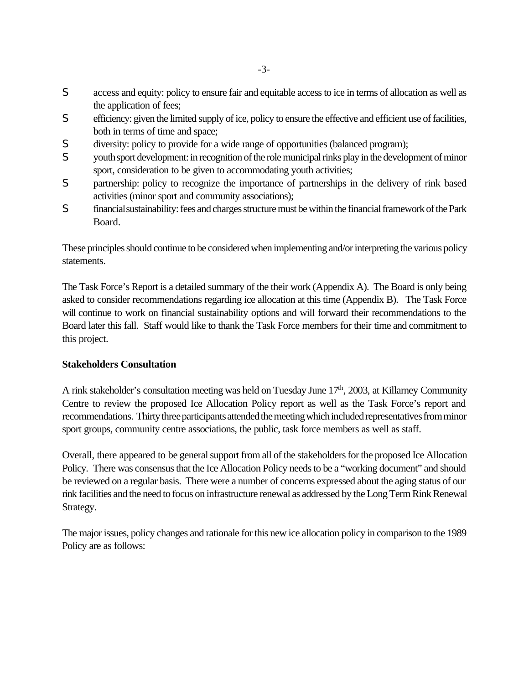- S access and equity: policy to ensure fair and equitable access to ice in terms of allocation as well as the application of fees;
- S efficiency: given the limited supply of ice, policy to ensure the effective and efficient use of facilities, both in terms of time and space;
- S diversity: policy to provide for a wide range of opportunities (balanced program);
- S youth sport development: in recognition of the role municipal rinks play in the development of minor sport, consideration to be given to accommodating youth activities;
- S partnership: policy to recognize the importance of partnerships in the delivery of rink based activities (minor sport and community associations);
- S financial sustainability: fees and charges structure must be within the financial framework of the Park Board.

These principles should continue to be considered when implementing and/or interpreting the various policy statements.

The Task Force's Report is a detailed summary of the their work (Appendix A). The Board is only being asked to consider recommendations regarding ice allocation at this time (Appendix B). The Task Force will continue to work on financial sustainability options and will forward their recommendations to the Board later this fall. Staff would like to thank the Task Force members for their time and commitment to this project.

### **Stakeholders Consultation**

A rink stakeholder's consultation meeting was held on Tuesday June 17th, 2003, at Killarney Community Centre to review the proposed Ice Allocation Policy report as well as the Task Force's report and recommendations. Thirty three participants attended the meeting which included representatives from minor sport groups, community centre associations, the public, task force members as well as staff.

Overall, there appeared to be general support from all of the stakeholders for the proposed Ice Allocation Policy. There was consensus that the Ice Allocation Policy needs to be a "working document" and should be reviewed on a regular basis. There were a number of concerns expressed about the aging status of our rink facilities and the need to focus on infrastructure renewal as addressed by the Long Term Rink Renewal Strategy.

The major issues, policy changes and rationale for this new ice allocation policy in comparison to the 1989 Policy are as follows: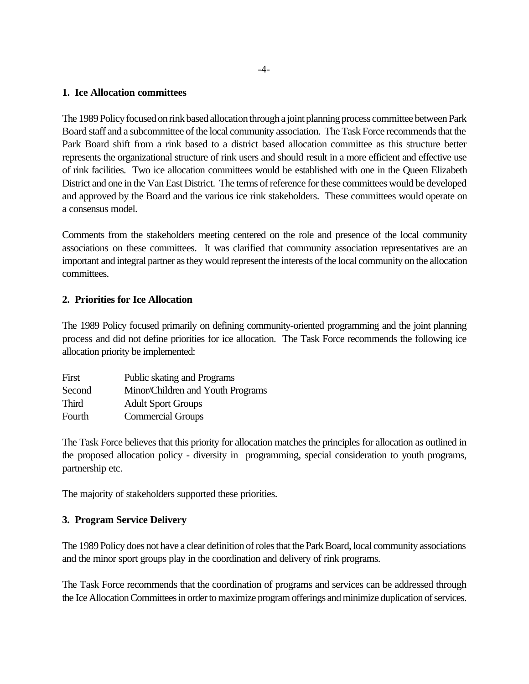#### **1. Ice Allocation committees**

The 1989 Policy focused on rink based allocation through a joint planning process committee between Park Board staff and a subcommittee of the local community association. The Task Force recommends that the Park Board shift from a rink based to a district based allocation committee as this structure better represents the organizational structure of rink users and should result in a more efficient and effective use of rink facilities. Two ice allocation committees would be established with one in the Queen Elizabeth District and one in the Van East District. The terms of reference for these committees would be developed and approved by the Board and the various ice rink stakeholders. These committees would operate on a consensus model.

Comments from the stakeholders meeting centered on the role and presence of the local community associations on these committees. It was clarified that community association representatives are an important and integral partner as they would represent the interests of the local community on the allocation committees.

### **2. Priorities for Ice Allocation**

The 1989 Policy focused primarily on defining community-oriented programming and the joint planning process and did not define priorities for ice allocation. The Task Force recommends the following ice allocation priority be implemented:

| First        | Public skating and Programs       |
|--------------|-----------------------------------|
| Second       | Minor/Children and Youth Programs |
| <b>Third</b> | <b>Adult Sport Groups</b>         |
| Fourth       | <b>Commercial Groups</b>          |

The Task Force believes that this priority for allocation matches the principles for allocation as outlined in the proposed allocation policy - diversity in programming, special consideration to youth programs, partnership etc.

The majority of stakeholders supported these priorities.

### **3. Program Service Delivery**

The 1989 Policy does not have a clear definition of roles that the Park Board, local community associations and the minor sport groups play in the coordination and delivery of rink programs.

The Task Force recommends that the coordination of programs and services can be addressed through the Ice Allocation Committees in order to maximize program offerings and minimize duplication of services.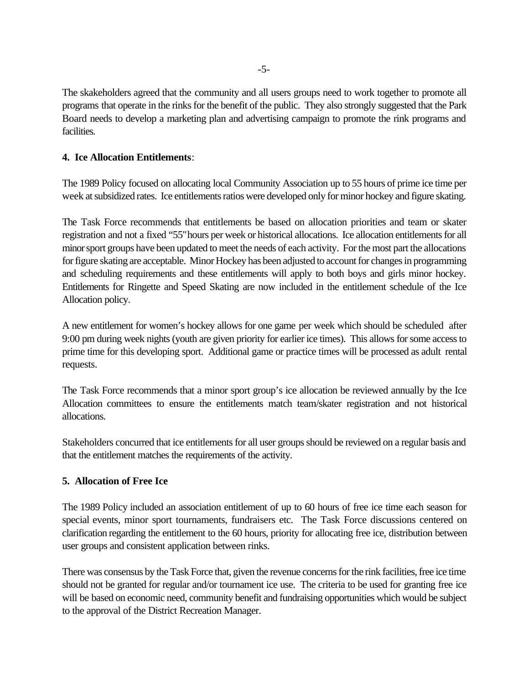The skakeholders agreed that the community and all users groups need to work together to promote all programs that operate in the rinks for the benefit of the public. They also strongly suggested that the Park Board needs to develop a marketing plan and advertising campaign to promote the rink programs and facilities.

# **4. Ice Allocation Entitlements**:

The 1989 Policy focused on allocating local Community Association up to 55 hours of prime ice time per week at subsidized rates. Ice entitlements ratios were developed only for minor hockey and figure skating.

The Task Force recommends that entitlements be based on allocation priorities and team or skater registration and not a fixed "55" hours per week or historical allocations. Ice allocation entitlements for all minor sport groups have been updated to meet the needs of each activity. For the most part the allocations for figure skating are acceptable. Minor Hockey has been adjusted to account for changes in programming and scheduling requirements and these entitlements will apply to both boys and girls minor hockey. Entitlements for Ringette and Speed Skating are now included in the entitlement schedule of the Ice Allocation policy.

A new entitlement for women's hockey allows for one game per week which should be scheduled after 9:00 pm during week nights (youth are given priority for earlier ice times). This allows for some access to prime time for this developing sport. Additional game or practice times will be processed as adult rental requests.

The Task Force recommends that a minor sport group's ice allocation be reviewed annually by the Ice Allocation committees to ensure the entitlements match team/skater registration and not historical allocations.

Stakeholders concurred that ice entitlements for all user groups should be reviewed on a regular basis and that the entitlement matches the requirements of the activity.

# **5. Allocation of Free Ice**

The 1989 Policy included an association entitlement of up to 60 hours of free ice time each season for special events, minor sport tournaments, fundraisers etc. The Task Force discussions centered on clarification regarding the entitlement to the 60 hours, priority for allocating free ice, distribution between user groups and consistent application between rinks.

There was consensus by the Task Force that, given the revenue concerns for the rink facilities, free ice time should not be granted for regular and/or tournament ice use. The criteria to be used for granting free ice will be based on economic need, community benefit and fundraising opportunities which would be subject to the approval of the District Recreation Manager.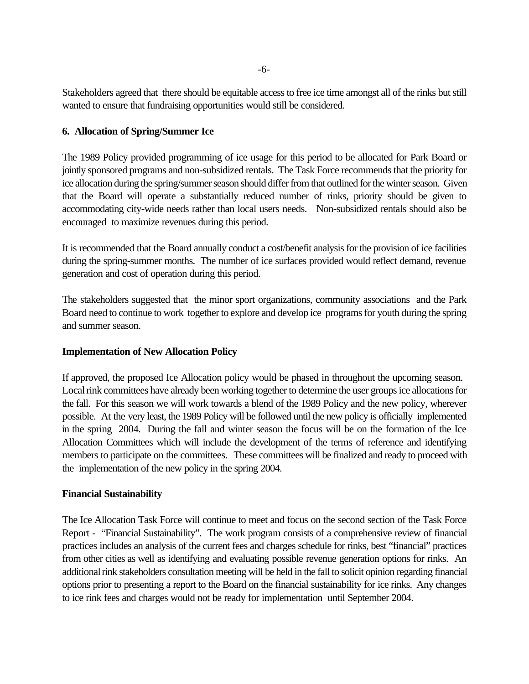Stakeholders agreed that there should be equitable access to free ice time amongst all of the rinks but still wanted to ensure that fundraising opportunities would still be considered.

# **6. Allocation of Spring/Summer Ice**

The 1989 Policy provided programming of ice usage for this period to be allocated for Park Board or jointly sponsored programs and non-subsidized rentals. The Task Force recommends that the priority for ice allocation during the spring/summer season should differ from that outlined for the winter season. Given that the Board will operate a substantially reduced number of rinks, priority should be given to accommodating city-wide needs rather than local users needs. Non-subsidized rentals should also be encouraged to maximize revenues during this period.

It is recommended that the Board annually conduct a cost/benefit analysis for the provision of ice facilities during the spring-summer months. The number of ice surfaces provided would reflect demand, revenue generation and cost of operation during this period.

The stakeholders suggested that the minor sport organizations, community associations and the Park Board need to continue to work together to explore and develop ice programs for youth during the spring and summer season.

### **Implementation of New Allocation Policy**

If approved, the proposed Ice Allocation policy would be phased in throughout the upcoming season. Local rink committees have already been working together to determine the user groups ice allocations for the fall. For this season we will work towards a blend of the 1989 Policy and the new policy, wherever possible. At the very least, the 1989 Policy will be followed until the new policy is officially implemented in the spring 2004. During the fall and winter season the focus will be on the formation of the Ice Allocation Committees which will include the development of the terms of reference and identifying members to participate on the committees. These committees will be finalized and ready to proceed with the implementation of the new policy in the spring 2004.

### **Financial Sustainability**

The Ice Allocation Task Force will continue to meet and focus on the second section of the Task Force Report - "Financial Sustainability". The work program consists of a comprehensive review of financial practices includes an analysis of the current fees and charges schedule for rinks, best "financial" practices from other cities as well as identifying and evaluating possible revenue generation options for rinks. An additional rink stakeholders consultation meeting will be held in the fall to solicit opinion regarding financial options prior to presenting a report to the Board on the financial sustainability for ice rinks. Any changes to ice rink fees and charges would not be ready for implementation until September 2004.